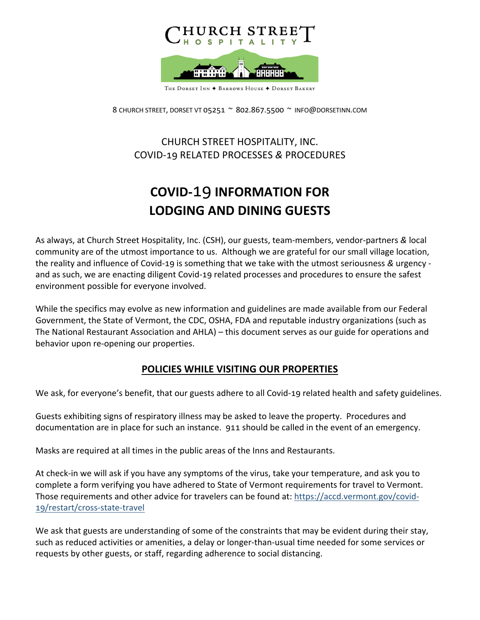

8 CHURCH STREET, DORSET VT 05251 ~ 802.867.5500 ~ INFO@DORSETINN.COM

## CHURCH STREET HOSPITALITY, INC. COVID-56 RELATED PROCESSES *&* PROCEDURES

## **COVID-19 INFORMATION FOR LODGING AND DINING GUESTS**

As always, at Church Street Hospitality, Inc. (CSH), our guests, team-members, vendor-partners *&* local community are of the utmost importance to us. Although we are grateful for our small village location, the reality and influence of Covid-19 is something that we take with the utmost seriousness & urgency and as such, we are enacting diligent Covid-19 related processes and procedures to ensure the safest environment possible for everyone involved.

While the specifics may evolve as new information and guidelines are made available from our Federal Government, the State of Vermont, the CDC, OSHA, FDA and reputable industry organizations (such as The National Restaurant Association and AHLA) – this document serves as our guide for operations and behavior upon re-opening our properties.

## **POLICIES WHILE VISITING OUR PROPERTIES**

We ask, for everyone's benefit, that our guests adhere to all Covid-19 related health and safety guidelines.

Guests exhibiting signs of respiratory illness may be asked to leave the property. Procedures and documentation are in place for such an instance. 911 should be called in the event of an emergency.

Masks are required at all times in the public areas of the Inns and Restaurants.

At check-in we will ask if you have any symptoms of the virus, take your temperature, and ask you to complete a form verifying you have adhered to State of Vermont requirements for travel to Vermont. Those requirements and other advice for travelers can be found at: https://accd.vermont.gov/covid-19/restart/cross-state-travel

We ask that guests are understanding of some of the constraints that may be evident during their stay, such as reduced activities or amenities, a delay or longer-than-usual time needed for some services or requests by other guests, or staff, regarding adherence to social distancing.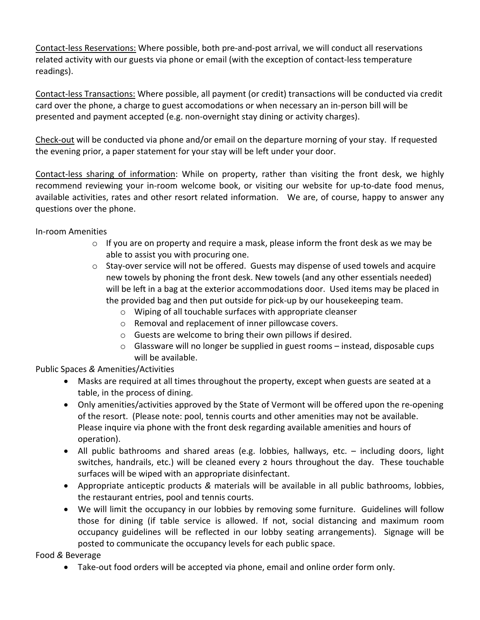Contact-less Reservations: Where possible, both pre-and-post arrival, we will conduct all reservations related activity with our guests via phone or email (with the exception of contact-less temperature readings).

Contact-less Transactions: Where possible, all payment (or credit) transactions will be conducted via credit card over the phone, a charge to guest accomodations or when necessary an in-person bill will be presented and payment accepted (e.g. non-overnight stay dining or activity charges).

Check-out will be conducted via phone and/or email on the departure morning of your stay. If requested the evening prior, a paper statement for your stay will be left under your door.

Contact-less sharing of information: While on property, rather than visiting the front desk, we highly recommend reviewing your in-room welcome book, or visiting our website for up-to-date food menus, available activities, rates and other resort related information. We are, of course, happy to answer any questions over the phone.

In-room Amenities

- $\circ$  If you are on property and require a mask, please inform the front desk as we may be able to assist you with procuring one.
- $\circ$  Stay-over service will not be offered. Guests may dispense of used towels and acquire new towels by phoning the front desk. New towels (and any other essentials needed) will be left in a bag at the exterior accommodations door. Used items may be placed in the provided bag and then put outside for pick-up by our housekeeping team.
	- o Wiping of all touchable surfaces with appropriate cleanser
	- o Removal and replacement of inner pillowcase covers.
	- o Guests are welcome to bring their own pillows if desired.
	- $\circ$  Glassware will no longer be supplied in guest rooms instead, disposable cups will be available.

Public Spaces *&* Amenities/Activities

- Masks are required at all times throughout the property, except when guests are seated at a table, in the process of dining.
- Only amenities/activities approved by the State of Vermont will be offered upon the re-opening of the resort. (Please note: pool, tennis courts and other amenities may not be available. Please inquire via phone with the front desk regarding available amenities and hours of operation).
- All public bathrooms and shared areas (e.g. lobbies, hallways, etc. including doors, light switches, handrails, etc.) will be cleaned every 2 hours throughout the day. These touchable surfaces will be wiped with an appropriate disinfectant.
- Appropriate anticeptic products *&* materials will be available in all public bathrooms, lobbies, the restaurant entries, pool and tennis courts.
- We will limit the occupancy in our lobbies by removing some furniture. Guidelines will follow those for dining (if table service is allowed. If not, social distancing and maximum room occupancy guidelines will be reflected in our lobby seating arrangements). Signage will be posted to communicate the occupancy levels for each public space.

Food *&* Beverage

• Take-out food orders will be accepted via phone, email and online order form only.